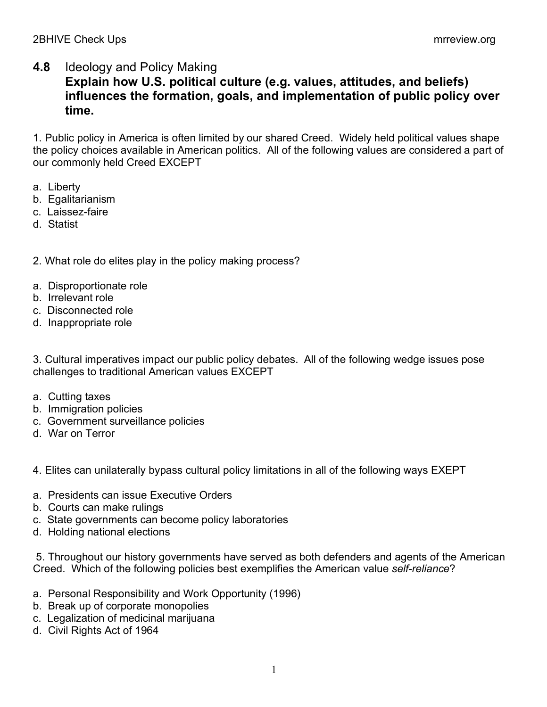## **4.8** Ideology and Policy Making

## **Explain how U.S. political culture (e.g. values, attitudes, and beliefs) influences the formation, goals, and implementation of public policy over time.**

1. Public policy in America is often limited by our shared Creed. Widely held political values shape the policy choices available in American politics. All of the following values are considered a part of our commonly held Creed EXCEPT

- a. Liberty
- b. Egalitarianism
- c. Laissez-faire
- d. Statist
- 2. What role do elites play in the policy making process?
- a. Disproportionate role
- b. Irrelevant role
- c. Disconnected role
- d. Inappropriate role

3. Cultural imperatives impact our public policy debates. All of the following wedge issues pose challenges to traditional American values EXCEPT

- a. Cutting taxes
- b. Immigration policies
- c. Government surveillance policies
- d. War on Terror

4. Elites can unilaterally bypass cultural policy limitations in all of the following ways EXEPT

- a. Presidents can issue Executive Orders
- b. Courts can make rulings
- c. State governments can become policy laboratories
- d. Holding national elections

5. Throughout our history governments have served as both defenders and agents of the American Creed. Which of the following policies best exemplifies the American value *self-reliance*?

- a. Personal Responsibility and Work Opportunity (1996)
- b. Break up of corporate monopolies
- c. Legalization of medicinal marijuana
- d. Civil Rights Act of 1964